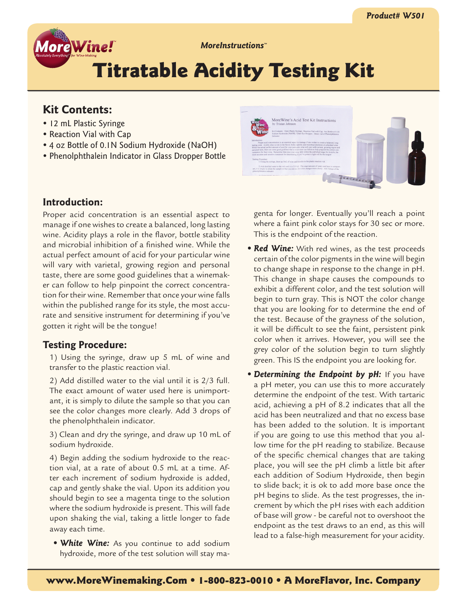

*MoreInstructions™*

# Titratable Acidity Testing Kit

# **Kit Contents:**

- 12 mL Plastic Syringe
- Reaction Vial with Cap
- 4 oz Bottle of 0.1N Sodium Hydroxide (NaOH)
- Phenolphthalein Indicator in Glass Dropper Bottle

## **Introduction:**

Proper acid concentration is an essential aspect to manage if one wishes to create a balanced, long lasting wine. Acidity plays a role in the flavor, bottle stability and microbial inhibition of a finished wine. While the actual perfect amount of acid for your particular wine will vary with varietal, growing region and personal taste, there are some good guidelines that a winemaker can follow to help pinpoint the correct concentration for their wine. Remember that once your wine falls within the published range for its style, the most accurate and sensitive instrument for determining if you've gotten it right will be the tongue!

### **Testing Procedure:**

1) Using the syringe, draw up 5 mL of wine and transfer to the plastic reaction vial.

2) Add distilled water to the vial until it is 2/3 full. The exact amount of water used here is unimportant, it is simply to dilute the sample so that you can see the color changes more clearly. Add 3 drops of the phenolphthalein indicator.

3) Clean and dry the syringe, and draw up 10 mL of sodium hydroxide.

4) Begin adding the sodium hydroxide to the reaction vial, at a rate of about 0.5 mL at a time. After each increment of sodium hydroxide is added, cap and gently shake the vial. Upon its addition you should begin to see a magenta tinge to the solution where the sodium hydroxide is present. This will fade upon shaking the vial, taking a little longer to fade away each time.

*• White Wine:* As you continue to add sodium hydroxide, more of the test solution will stay ma-



genta for longer. Eventually you'll reach a point where a faint pink color stays for 30 sec or more. This is the endpoint of the reaction.

- **Red Wine:** With red wines, as the test proceeds certain of the color pigments in the wine will begin to change shape in response to the change in pH. This change in shape causes the compounds to exhibit a different color, and the test solution will begin to turn gray. This is NOT the color change that you are looking for to determine the end of the test. Because of the grayness of the solution, it will be difficult to see the faint, persistent pink color when it arrives. However, you will see the grey color of the solution begin to turn slightly green. This IS the endpoint you are looking for.
- **Determining the Endpoint by pH:** If you have a pH meter, you can use this to more accurately determine the endpoint of the test. With tartaric acid, achieving a pH of 8.2 indicates that all the acid has been neutralized and that no excess base has been added to the solution. It is important if you are going to use this method that you allow time for the pH reading to stabilize. Because of the specific chemical changes that are taking place, you will see the pH climb a little bit after each addition of Sodium Hydroxide, then begin to slide back; it is ok to add more base once the pH begins to slide. As the test progresses, the increment by which the pH rises with each addition of base will grow - be careful not to overshoot the endpoint as the test draws to an end, as this will lead to a false-high measurement for your acidity.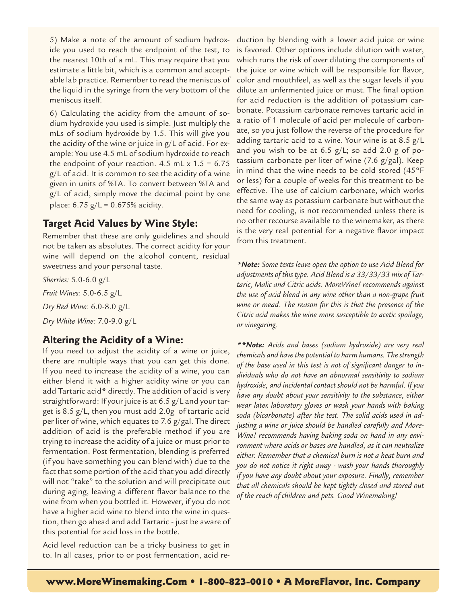5) Make a note of the amount of sodium hydroxide you used to reach the endpoint of the test, to the nearest 10th of a mL. This may require that you estimate a little bit, which is a common and acceptable lab practice. Remember to read the meniscus of the liquid in the syringe from the very bottom of the meniscus itself.

6) Calculating the acidity from the amount of sodium hydroxide you used is simple. Just multiply the mLs of sodium hydroxide by 1.5. This will give you the acidity of the wine or juice in g/L of acid. For example: You use 4.5 mL of sodium hydroxide to reach the endpoint of your reaction. 4.5 mL  $x$  1.5 = 6.75 g/L of acid. It is common to see the acidity of a wine given in units of %TA. To convert between %TA and g/L of acid, simply move the decimal point by one place:  $6.75 \text{ g/L} = 0.675\%$  acidity.

#### **Target Acid Values by Wine Style:**

Remember that these are only guidelines and should not be taken as absolutes. The correct acidity for your wine will depend on the alcohol content, residual sweetness and your personal taste.

*Sherries:* 5.0-6.0 g/L *Fruit Wines:* 5.0-6.5 g/L *Dry Red Wine:* 6.0-8.0 g/L *Dry White Wine:* 7.0-9.0 g/L

#### **Altering the Acidity of a Wine:**

If you need to adjust the acidity of a wine or juice, there are multiple ways that you can get this done. If you need to increase the acidity of a wine, you can either blend it with a higher acidity wine or you can add Tartaric acid\* directly. The addition of acid is very straightforward: If your juice is at 6.5 g/L and your target is 8.5 g/L, then you must add 2.0g of tartaric acid per liter of wine, which equates to 7.6 g/gal. The direct addition of acid is the preferable method if you are trying to increase the acidity of a juice or must prior to fermentation. Post fermentation, blending is preferred (if you have something you can blend with) due to the fact that some portion of the acid that you add directly will not "take" to the solution and will precipitate out during aging, leaving a different flavor balance to the wine from when you bottled it. However, if you do not have a higher acid wine to blend into the wine in question, then go ahead and add Tartaric - just be aware of this potential for acid loss in the bottle.

Acid level reduction can be a tricky business to get in to. In all cases, prior to or post fermentation, acid reduction by blending with a lower acid juice or wine is favored. Other options include dilution with water, which runs the risk of over diluting the components of the juice or wine which will be responsible for flavor, color and mouthfeel, as well as the sugar levels if you dilute an unfermented juice or must. The final option for acid reduction is the addition of potassium carbonate. Potassium carbonate removes tartaric acid in a ratio of 1 molecule of acid per molecule of carbonate, so you just follow the reverse of the procedure for adding tartaric acid to a wine. Your wine is at 8.5 g/L and you wish to be at 6.5 g/L; so add 2.0 g of potassium carbonate per liter of wine (7.6 g/gal). Keep in mind that the wine needs to be cold stored (45°F or less) for a couple of weeks for this treatment to be effective. The use of calcium carbonate, which works the same way as potassium carbonate but without the need for cooling, is not recommended unless there is no other recourse available to the winemaker, as there is the very real potential for a negative flavor impact from this treatment.

*\*Note: Some texts leave open the option to use Acid Blend for adjustments of this type. Acid Blend is a 33/33/33 mix of Tartaric, Malic and Citric acids. MoreWine! recommends against the use of acid blend in any wine other than a non-grape fruit wine or mead. The reason for this is that the presence of the Citric acid makes the wine more susceptible to acetic spoilage, or vinegaring.*

*\*\*Note: Acids and bases (sodium hydroxide) are very real chemicals and have the potential to harm humans. The strength of the base used in this test is not of significant danger to individuals who do not have an abnormal sensitivity to sodium hydroxide, and incidental contact should not be harmful. If you have any doubt about your sensitivity to the substance, either wear latex laboratory gloves or wash your hands with baking soda (bicarbonate) after the test. The solid acids used in adjusting a wine or juice should be handled carefully and More-Wine! recommends having baking soda on hand in any environment where acids or bases are handled, as it can neutralize either. Remember that a chemical burn is not a heat burn and you do not notice it right away - wash your hands thoroughly if you have any doubt about your exposure. Finally, remember that all chemicals should be kept tightly closed and stored out of the reach of children and pets. Good Winemaking!*